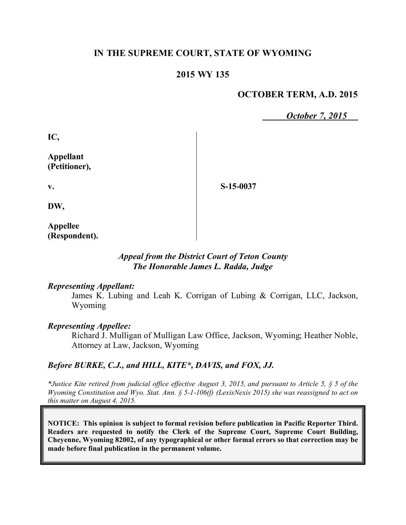# **IN THE SUPREME COURT, STATE OF WYOMING**

## **2015 WY 135**

## **OCTOBER TERM, A.D. 2015**

*October 7, 2015*

**IC,**

**Appellant (Petitioner),**

**S-15-0037**

**DW,**

**v.**

**Appellee (Respondent).**

### *Appeal from the District Court of Teton County The Honorable James L. Radda, Judge*

#### *Representing Appellant:*

James K. Lubing and Leah K. Corrigan of Lubing & Corrigan, LLC, Jackson, Wyoming

### *Representing Appellee:*

Richard J. Mulligan of Mulligan Law Office, Jackson, Wyoming; Heather Noble, Attorney at Law, Jackson, Wyoming

### *Before BURKE, C.J., and HILL, KITE\*, DAVIS, and FOX, JJ.*

*\*Justice Kite retired from judicial office effective August 3, 2015, and pursuant to Article 5, § 5 of the Wyoming Constitution and Wyo. Stat. Ann. § 5-1-106(f) (LexisNexis 2015) she was reassigned to act on this matter on August 4, 2015.*

**NOTICE: This opinion is subject to formal revision before publication in Pacific Reporter Third. Readers are requested to notify the Clerk of the Supreme Court, Supreme Court Building, Cheyenne, Wyoming 82002, of any typographical or other formal errors so that correction may be made before final publication in the permanent volume.**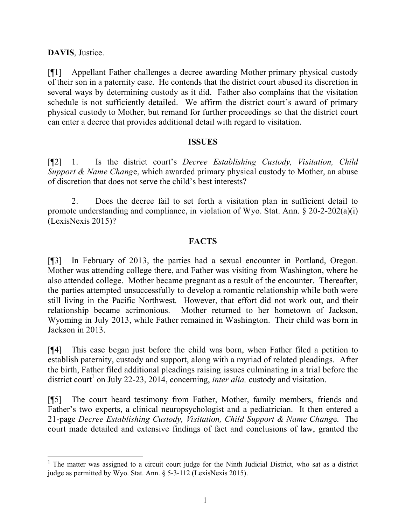### **DAVIS**, Justice.

[¶1] Appellant Father challenges a decree awarding Mother primary physical custody of their son in a paternity case. He contends that the district court abused its discretion in several ways by determining custody as it did. Father also complains that the visitation schedule is not sufficiently detailed. We affirm the district court's award of primary physical custody to Mother, but remand for further proceedings so that the district court can enter a decree that provides additional detail with regard to visitation.

#### **ISSUES**

[¶2] 1. Is the district court's *Decree Establishing Custody, Visitation, Child Support & Name Chang*e, which awarded primary physical custody to Mother, an abuse of discretion that does not serve the child's best interests?

2. Does the decree fail to set forth a visitation plan in sufficient detail to promote understanding and compliance, in violation of Wyo. Stat. Ann. § 20-2-202(a)(i) (LexisNexis 2015)?

### **FACTS**

[¶3] In February of 2013, the parties had a sexual encounter in Portland, Oregon. Mother was attending college there, and Father was visiting from Washington, where he also attended college. Mother became pregnant as a result of the encounter. Thereafter, the parties attempted unsuccessfully to develop a romantic relationship while both were still living in the Pacific Northwest. However, that effort did not work out, and their relationship became acrimonious. Mother returned to her hometown of Jackson, Wyoming in July 2013, while Father remained in Washington. Their child was born in Jackson in 2013.

[¶4] This case began just before the child was born, when Father filed a petition to establish paternity, custody and support, along with a myriad of related pleadings. After the birth, Father filed additional pleadings raising issues culminating in a trial before the district court<sup>1</sup> on July 22-23, 2014, concerning, *inter alia*, custody and visitation.

[¶5] The court heard testimony from Father, Mother, family members, friends and Father's two experts, a clinical neuropsychologist and a pediatrician. It then entered a 21-page *Decree Establishing Custody, Visitation, Child Support & Name Chang*e. The court made detailed and extensive findings of fact and conclusions of law, granted the

 $1$  The matter was assigned to a circuit court judge for the Ninth Judicial District, who sat as a district judge as permitted by Wyo. Stat. Ann. § 5-3-112 (LexisNexis 2015).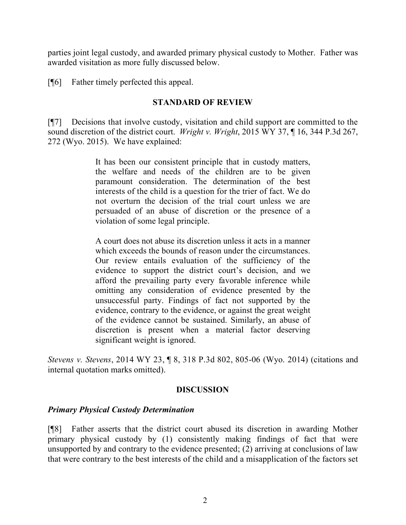parties joint legal custody, and awarded primary physical custody to Mother. Father was awarded visitation as more fully discussed below.

[¶6] Father timely perfected this appeal.

## **STANDARD OF REVIEW**

[¶7] Decisions that involve custody, visitation and child support are committed to the sound discretion of the district court. *Wright v. Wright*, 2015 WY 37, ¶ 16, 344 P.3d 267, 272 (Wyo. 2015). We have explained:

> It has been our consistent principle that in custody matters, the welfare and needs of the children are to be given paramount consideration. The determination of the best interests of the child is a question for the trier of fact. We do not overturn the decision of the trial court unless we are persuaded of an abuse of discretion or the presence of a violation of some legal principle.

> A court does not abuse its discretion unless it acts in a manner which exceeds the bounds of reason under the circumstances. Our review entails evaluation of the sufficiency of the evidence to support the district court's decision, and we afford the prevailing party every favorable inference while omitting any consideration of evidence presented by the unsuccessful party. Findings of fact not supported by the evidence, contrary to the evidence, or against the great weight of the evidence cannot be sustained. Similarly, an abuse of discretion is present when a material factor deserving significant weight is ignored.

*Stevens v. Stevens*, 2014 WY 23, ¶ 8, 318 P.3d 802, 805-06 (Wyo. 2014) (citations and internal quotation marks omitted).

### **DISCUSSION**

### *Primary Physical Custody Determination*

[¶8] Father asserts that the district court abused its discretion in awarding Mother primary physical custody by (1) consistently making findings of fact that were unsupported by and contrary to the evidence presented; (2) arriving at conclusions of law that were contrary to the best interests of the child and a misapplication of the factors set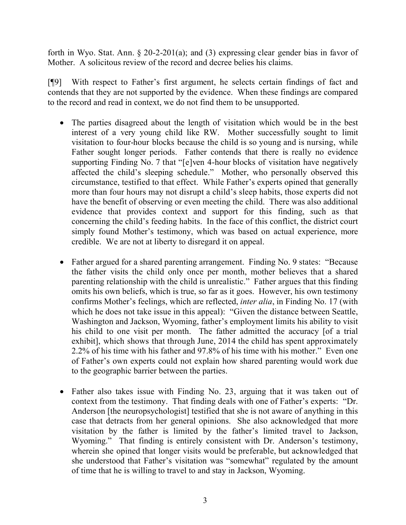forth in Wyo. Stat. Ann. § 20-2-201(a); and (3) expressing clear gender bias in favor of Mother. A solicitous review of the record and decree belies his claims.

[¶9] With respect to Father's first argument, he selects certain findings of fact and contends that they are not supported by the evidence. When these findings are compared to the record and read in context, we do not find them to be unsupported.

- The parties disagreed about the length of visitation which would be in the best interest of a very young child like RW. Mother successfully sought to limit visitation to four-hour blocks because the child is so young and is nursing, while Father sought longer periods. Father contends that there is really no evidence supporting Finding No. 7 that "[e]ven 4-hour blocks of visitation have negatively affected the child's sleeping schedule." Mother, who personally observed this circumstance, testified to that effect. While Father's experts opined that generally more than four hours may not disrupt a child's sleep habits, those experts did not have the benefit of observing or even meeting the child. There was also additional evidence that provides context and support for this finding, such as that concerning the child's feeding habits. In the face of this conflict, the district court simply found Mother's testimony, which was based on actual experience, more credible. We are not at liberty to disregard it on appeal.
- Father argued for a shared parenting arrangement. Finding No. 9 states: "Because" the father visits the child only once per month, mother believes that a shared parenting relationship with the child is unrealistic." Father argues that this finding omits his own beliefs, which is true, so far as it goes. However, his own testimony confirms Mother's feelings, which are reflected, *inter alia*, in Finding No. 17 (with which he does not take issue in this appeal): "Given the distance between Seattle, Washington and Jackson, Wyoming, father's employment limits his ability to visit his child to one visit per month. The father admitted the accuracy [of a trial exhibit], which shows that through June, 2014 the child has spent approximately 2.2% of his time with his father and 97.8% of his time with his mother." Even one of Father's own experts could not explain how shared parenting would work due to the geographic barrier between the parties.
- Father also takes issue with Finding No. 23, arguing that it was taken out of context from the testimony. That finding deals with one of Father's experts: "Dr. Anderson [the neuropsychologist] testified that she is not aware of anything in this case that detracts from her general opinions. She also acknowledged that more visitation by the father is limited by the father's limited travel to Jackson, Wyoming." That finding is entirely consistent with Dr. Anderson's testimony, wherein she opined that longer visits would be preferable, but acknowledged that she understood that Father's visitation was "somewhat" regulated by the amount of time that he is willing to travel to and stay in Jackson, Wyoming.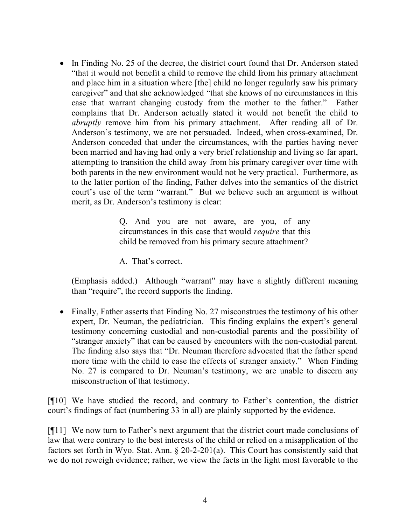In Finding No. 25 of the decree, the district court found that Dr. Anderson stated "that it would not benefit a child to remove the child from his primary attachment and place him in a situation where [the] child no longer regularly saw his primary caregiver" and that she acknowledged "that she knows of no circumstances in this case that warrant changing custody from the mother to the father." Father complains that Dr. Anderson actually stated it would not benefit the child to *abruptly* remove him from his primary attachment. After reading all of Dr. Anderson's testimony, we are not persuaded. Indeed, when cross-examined, Dr. Anderson conceded that under the circumstances, with the parties having never been married and having had only a very brief relationship and living so far apart, attempting to transition the child away from his primary caregiver over time with both parents in the new environment would not be very practical. Furthermore, as to the latter portion of the finding, Father delves into the semantics of the district court's use of the term "warrant." But we believe such an argument is without merit, as Dr. Anderson's testimony is clear:

> Q. And you are not aware, are you, of any circumstances in this case that would *require* that this child be removed from his primary secure attachment?

A. That's correct.

(Emphasis added.) Although "warrant" may have a slightly different meaning than "require", the record supports the finding.

• Finally, Father asserts that Finding No. 27 misconstrues the testimony of his other expert, Dr. Neuman, the pediatrician. This finding explains the expert's general testimony concerning custodial and non-custodial parents and the possibility of "stranger anxiety" that can be caused by encounters with the non-custodial parent. The finding also says that "Dr. Neuman therefore advocated that the father spend more time with the child to ease the effects of stranger anxiety." When Finding No. 27 is compared to Dr. Neuman's testimony, we are unable to discern any misconstruction of that testimony.

[¶10] We have studied the record, and contrary to Father's contention, the district court's findings of fact (numbering 33 in all) are plainly supported by the evidence.

[¶11] We now turn to Father's next argument that the district court made conclusions of law that were contrary to the best interests of the child or relied on a misapplication of the factors set forth in Wyo. Stat. Ann. § 20-2-201(a). This Court has consistently said that we do not reweigh evidence; rather, we view the facts in the light most favorable to the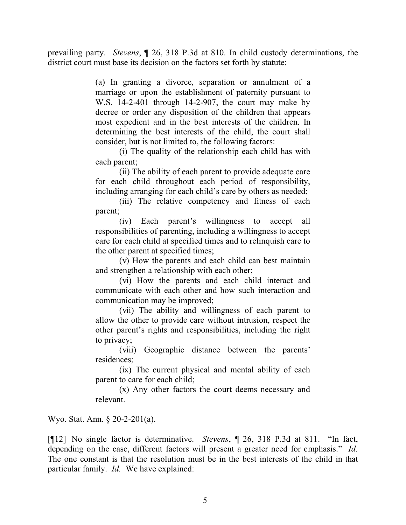prevailing party. *Stevens*, ¶ 26, 318 P.3d at 810. In child custody determinations, the district court must base its decision on the factors set forth by statute:

> (a) In granting a divorce, separation or annulment of a marriage or upon the establishment of paternity pursuant to W.S. 14-2-401 through 14-2-907, the court may make by decree or order any disposition of the children that appears most expedient and in the best interests of the children. In determining the best interests of the child, the court shall consider, but is not limited to, the following factors:

> (i) The quality of the relationship each child has with each parent;

> (ii) The ability of each parent to provide adequate care for each child throughout each period of responsibility, including arranging for each child's care by others as needed;

> (iii) The relative competency and fitness of each parent;

> (iv) Each parent's willingness to accept all responsibilities of parenting, including a willingness to accept care for each child at specified times and to relinquish care to the other parent at specified times;

> (v) How the parents and each child can best maintain and strengthen a relationship with each other;

> (vi) How the parents and each child interact and communicate with each other and how such interaction and communication may be improved;

> (vii) The ability and willingness of each parent to allow the other to provide care without intrusion, respect the other parent's rights and responsibilities, including the right to privacy;

> (viii) Geographic distance between the parents' residences;

> (ix) The current physical and mental ability of each parent to care for each child;

> (x) Any other factors the court deems necessary and relevant.

Wyo. Stat. Ann. § 20-2-201(a).

[¶12] No single factor is determinative. *Stevens*, ¶ 26, 318 P.3d at 811. "In fact, depending on the case, different factors will present a greater need for emphasis." *Id.* The one constant is that the resolution must be in the best interests of the child in that particular family. *Id.* We have explained: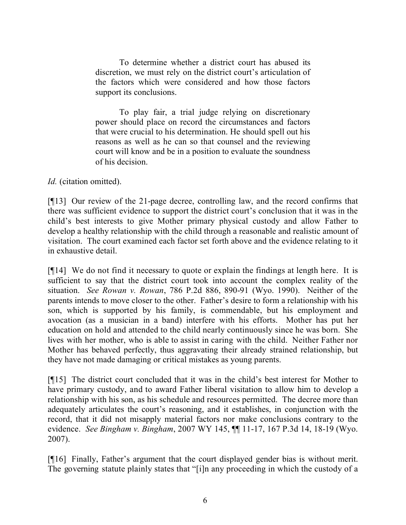To determine whether a district court has abused its discretion, we must rely on the district court's articulation of the factors which were considered and how those factors support its conclusions.

To play fair, a trial judge relying on discretionary power should place on record the circumstances and factors that were crucial to his determination. He should spell out his reasons as well as he can so that counsel and the reviewing court will know and be in a position to evaluate the soundness of his decision.

*Id.* (citation omitted).

[¶13] Our review of the 21-page decree, controlling law, and the record confirms that there was sufficient evidence to support the district court's conclusion that it was in the child's best interests to give Mother primary physical custody and allow Father to develop a healthy relationship with the child through a reasonable and realistic amount of visitation. The court examined each factor set forth above and the evidence relating to it in exhaustive detail.

[¶14] We do not find it necessary to quote or explain the findings at length here. It is sufficient to say that the district court took into account the complex reality of the situation. *See Rowan v. Rowan*, 786 P.2d 886, 890-91 (Wyo. 1990). Neither of the parents intends to move closer to the other. Father's desire to form a relationship with his son, which is supported by his family, is commendable, but his employment and avocation (as a musician in a band) interfere with his efforts. Mother has put her education on hold and attended to the child nearly continuously since he was born. She lives with her mother, who is able to assist in caring with the child. Neither Father nor Mother has behaved perfectly, thus aggravating their already strained relationship, but they have not made damaging or critical mistakes as young parents.

[¶15] The district court concluded that it was in the child's best interest for Mother to have primary custody, and to award Father liberal visitation to allow him to develop a relationship with his son, as his schedule and resources permitted. The decree more than adequately articulates the court's reasoning, and it establishes, in conjunction with the record, that it did not misapply material factors nor make conclusions contrary to the evidence. *See Bingham v. Bingham*, 2007 WY 145, ¶¶ 11-17, 167 P.3d 14, 18-19 (Wyo. 2007).

[¶16] Finally, Father's argument that the court displayed gender bias is without merit. The governing statute plainly states that "[i]n any proceeding in which the custody of a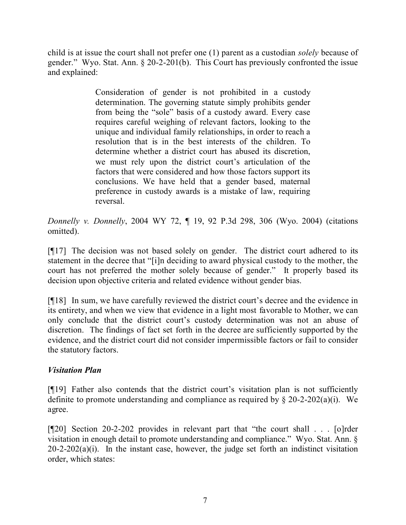child is at issue the court shall not prefer one (1) parent as a custodian *solely* because of gender." Wyo. Stat. Ann. § 20-2-201(b). This Court has previously confronted the issue and explained:

> Consideration of gender is not prohibited in a custody determination. The governing statute simply prohibits gender from being the "sole" basis of a custody award. Every case requires careful weighing of relevant factors, looking to the unique and individual family relationships, in order to reach a resolution that is in the best interests of the children. To determine whether a district court has abused its discretion, we must rely upon the district court's articulation of the factors that were considered and how those factors support its conclusions. We have held that a gender based, maternal preference in custody awards is a mistake of law, requiring reversal.

*Donnelly v. Donnelly*, 2004 WY 72, ¶ 19, 92 P.3d 298, 306 (Wyo. 2004) (citations omitted).

[¶17] The decision was not based solely on gender. The district court adhered to its statement in the decree that "[i]n deciding to award physical custody to the mother, the court has not preferred the mother solely because of gender." It properly based its decision upon objective criteria and related evidence without gender bias.

[¶18] In sum, we have carefully reviewed the district court's decree and the evidence in its entirety, and when we view that evidence in a light most favorable to Mother, we can only conclude that the district court's custody determination was not an abuse of discretion. The findings of fact set forth in the decree are sufficiently supported by the evidence, and the district court did not consider impermissible factors or fail to consider the statutory factors.

# *Visitation Plan*

[¶19] Father also contends that the district court's visitation plan is not sufficiently definite to promote understanding and compliance as required by  $\S 20-2-202(a)(i)$ . We agree.

[¶20] Section 20-2-202 provides in relevant part that "the court shall . . . [o]rder visitation in enough detail to promote understanding and compliance." Wyo. Stat. Ann. §  $20-2-202(a)(i)$ . In the instant case, however, the judge set forth an indistinct visitation order, which states: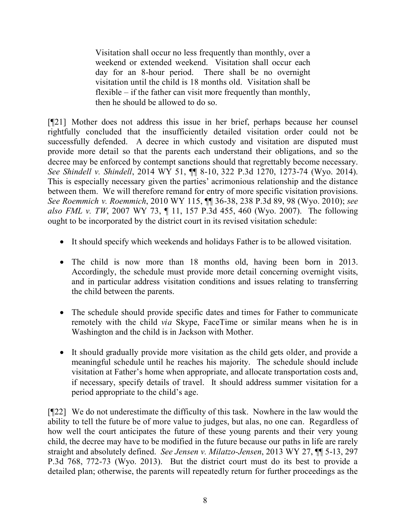Visitation shall occur no less frequently than monthly, over a weekend or extended weekend. Visitation shall occur each day for an 8-hour period. There shall be no overnight visitation until the child is 18 months old. Visitation shall be flexible  $-$  if the father can visit more frequently than monthly. then he should be allowed to do so.

[¶21] Mother does not address this issue in her brief, perhaps because her counsel rightfully concluded that the insufficiently detailed visitation order could not be successfully defended. A decree in which custody and visitation are disputed must provide more detail so that the parents each understand their obligations, and so the decree may be enforced by contempt sanctions should that regrettably become necessary. *See Shindell v. Shindell*, 2014 WY 51, ¶¶ 8-10, 322 P.3d 1270, 1273-74 (Wyo. 2014). This is especially necessary given the parties' acrimonious relationship and the distance between them. We will therefore remand for entry of more specific visitation provisions. *See Roemmich v. Roemmich*, 2010 WY 115, ¶¶ 36-38, 238 P.3d 89, 98 (Wyo. 2010); *see also FML v. TW*, 2007 WY 73, ¶ 11, 157 P.3d 455, 460 (Wyo. 2007). The following ought to be incorporated by the district court in its revised visitation schedule:

- It should specify which weekends and holidays Father is to be allowed visitation.
- The child is now more than 18 months old, having been born in 2013. Accordingly, the schedule must provide more detail concerning overnight visits, and in particular address visitation conditions and issues relating to transferring the child between the parents.
- The schedule should provide specific dates and times for Father to communicate remotely with the child *via* Skype, FaceTime or similar means when he is in Washington and the child is in Jackson with Mother.
- It should gradually provide more visitation as the child gets older, and provide a meaningful schedule until he reaches his majority. The schedule should include visitation at Father's home when appropriate, and allocate transportation costs and, if necessary, specify details of travel. It should address summer visitation for a period appropriate to the child's age.

[¶22] We do not underestimate the difficulty of this task. Nowhere in the law would the ability to tell the future be of more value to judges, but alas, no one can. Regardless of how well the court anticipates the future of these young parents and their very young child, the decree may have to be modified in the future because our paths in life are rarely straight and absolutely defined. *See Jensen v. Milatzo-Jensen*, 2013 WY 27, ¶¶ 5-13, 297 P.3d 768, 772-73 (Wyo. 2013). But the district court must do its best to provide a detailed plan; otherwise, the parents will repeatedly return for further proceedings as the